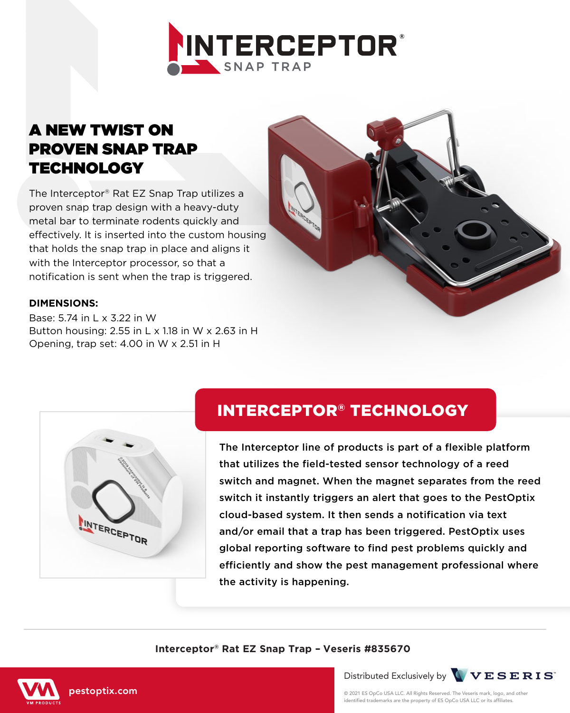

## A NEW TWIST ON PROVEN SNAP TRAP **TECHNOLOGY**

The Interceptor® Rat EZ Snap Trap utilizes a proven snap trap design with a heavy-duty metal bar to terminate rodents quickly and effectively. It is inserted into the custom housing that holds the snap trap in place and aligns it with the Interceptor processor, so that a notification is sent when the trap is triggered.

### **DIMENSIONS:**

Base: 5.74 in L x 3.22 in W Button housing: 2.55 in L x 1.18 in W x 2.63 in H Opening, trap set: 4.00 in W x 2.51 in H



# INTERCEPTOR® TECHNOLOGY

The Interceptor line of products is part of a flexible platform that utilizes the field-tested sensor technology of a reed switch and magnet. When the magnet separates from the reed switch it instantly triggers an alert that goes to the PestOptix cloud-based system. It then sends a notification via text and/or email that a trap has been triggered. PestOptix uses global reporting software to find pest problems quickly and efficiently and show the pest management professional where the activity is happening.

#### **Interceptor® Rat EZ Snap Trap – Veseris #835670**





© 2021 ES OpCo USA LLC. All Rights Reserved. The Veseris mark, logo, and other identified trademarks are the property of ES OpCo USA LLC or its affiliates.